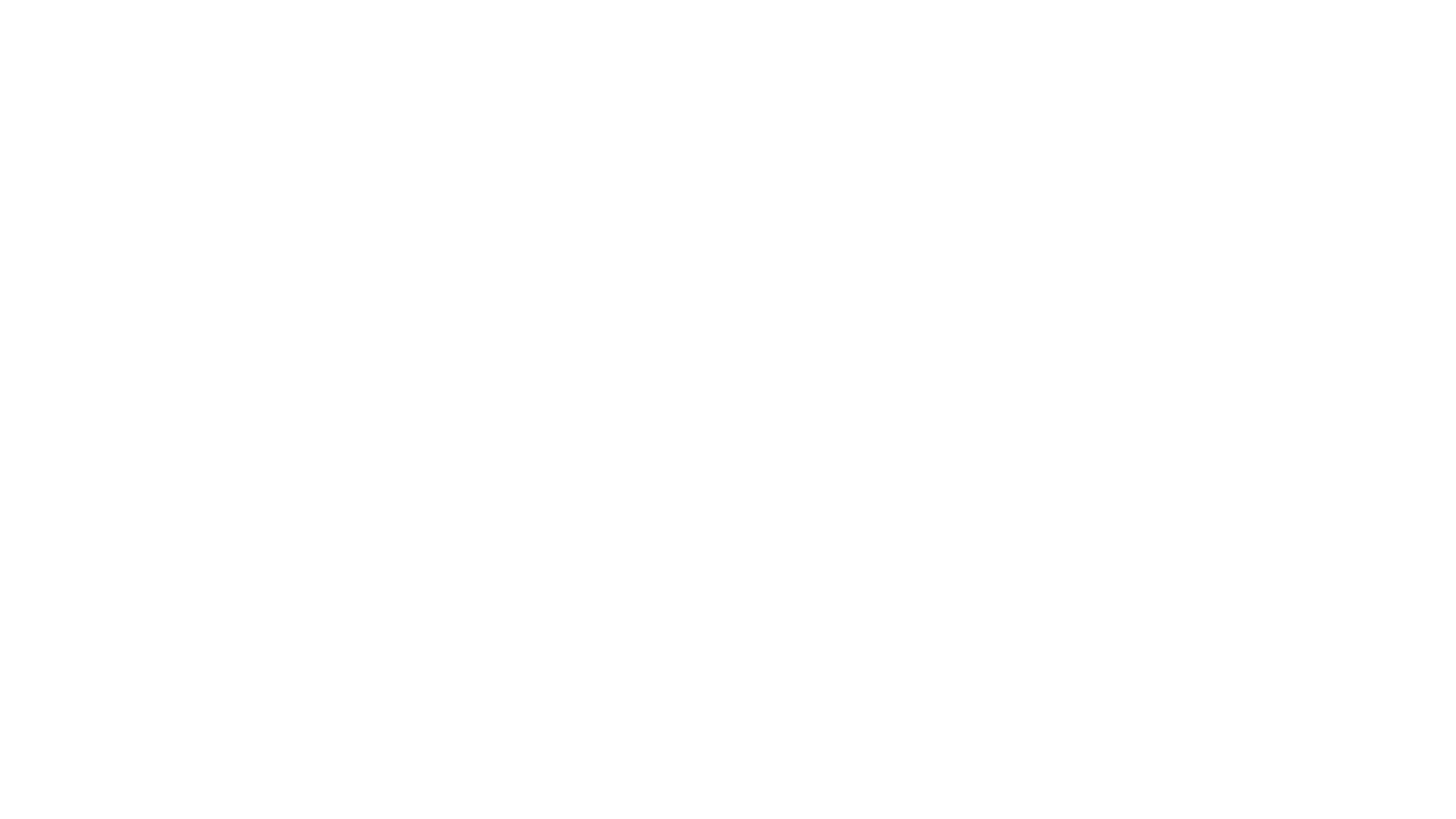# 30 March 2022 Sydney, Australia

# **Updated Nyrada Investor Roadshow Presentation**

Nyrada Inc (ASX: NYR) is pleased to provide shareholders and the market generally with the attached presentation ahead of a domestic investor roadshow led by Nyrada CEO, James Bonnar, which istaking place during March and April 2022.

The presentation provides an overview of the Company's two lead drug development programs and an update on their progress as they advance towards Phase I first-in-human studies.

-ENDS-

## **About Nyrada Inc**

Nyrada is a preclinical stage, drug discovery and development company, specialising in novel small molecule drugs to treat cardiovascular and neurological diseases. The Company has two main programs, each targeting market sectors of significant size and considerable unmet clinical need. These are a cholesterol-lowering drug and a drug to treat brain injury, specifically traumatic brain injury and stroke. Nyrada Inc. ARBN 625 401 818 is a company incorporated in the state of Delaware, US, and the liability of its stockholders is limited.

#### [www.nyrada.com](http://www.nyrada.com/)

*Authorised by Mr. John Moore, Non-Executive Chairman, on behalf of the Board.*

**Investor & Corporate Enquiries: Company Secretary:** Laura Vize **David Franks** Investor Relations Manager T: 02 8072 1400 E: [info@nyrada.com](mailto:info@nyrada.com)

T: 02 9498 3390 E: [David.Franks@automicgroup.com.au](mailto:David.Franks@automicgroup.com.au)

**Media Enquiries:** Catherine Strong Citadel-MAGNUS T: 02 8234 0111 E: [cstrong@citadelmagnus.com](mailto:cstrong@citadelmagnus.com)